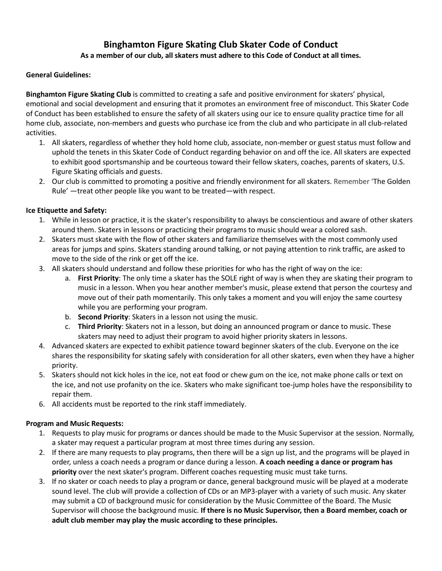# **Binghamton Figure Skating Club Skater Code of Conduct As a member of our club, all skaters must adhere to this Code of Conduct at all times.**

#### **General Guidelines:**

**Binghamton Figure Skating Club** is committed to creating a safe and positive environment for skaters' physical, emotional and social development and ensuring that it promotes an environment free of misconduct. This Skater Code of Conduct has been established to ensure the safety of all skaters using our ice to ensure quality practice time for all home club, associate, non-members and guests who purchase ice from the club and who participate in all club-related activities.

- 1. All skaters, regardless of whether they hold home club, associate, non-member or guest status must follow and uphold the tenets in this Skater Code of Conduct regarding behavior on and off the ice. All skaters are expected to exhibit good sportsmanship and be courteous toward their fellow skaters, coaches, parents of skaters, U.S. Figure Skating officials and guests.
- 2. Our club is committed to promoting a positive and friendly environment for all skaters. Remember 'The Golden Rule' —treat other people like you want to be treated—with respect.

# **Ice Etiquette and Safety:**

- 1. While in lesson or practice, it is the skater's responsibility to always be conscientious and aware of other skaters around them. Skaters in lessons or practicing their programs to music should wear a colored sash.
- 2. Skaters must skate with the flow of other skaters and familiarize themselves with the most commonly used areas for jumps and spins. Skaters standing around talking, or not paying attention to rink traffic, are asked to move to the side of the rink or get off the ice.
- 3. All skaters should understand and follow these priorities for who has the right of way on the ice:
	- a. **First Priority**: The only time a skater has the SOLE right of way is when they are skating their program to music in a lesson. When you hear another member's music, please extend that person the courtesy and move out of their path momentarily. This only takes a moment and you will enjoy the same courtesy while you are performing your program.
	- b. **Second Priority**: Skaters in a lesson not using the music.
	- c. **Third Priority**: Skaters not in a lesson, but doing an announced program or dance to music. These skaters may need to adjust their program to avoid higher priority skaters in lessons.
- 4. Advanced skaters are expected to exhibit patience toward beginner skaters of the club. Everyone on the ice shares the responsibility for skating safely with consideration for all other skaters, even when they have a higher priority.
- 5. Skaters should not kick holes in the ice, not eat food or chew gum on the ice, not make phone calls or text on the ice, and not use profanity on the ice. Skaters who make significant toe-jump holes have the responsibility to repair them.
- 6. All accidents must be reported to the rink staff immediately.

#### **Program and Music Requests:**

- 1. Requests to play music for programs or dances should be made to the Music Supervisor at the session. Normally, a skater may request a particular program at most three times during any session.
- 2. If there are many requests to play programs, then there will be a sign up list, and the programs will be played in order, unless a coach needs a program or dance during a lesson. **A coach needing a dance or program has priority** over the next skater's program. Different coaches requesting music must take turns.
- 3. If no skater or coach needs to play a program or dance, general background music will be played at a moderate sound level. The club will provide a collection of CDs or an MP3-player with a variety of such music. Any skater may submit a CD of background music for consideration by the Music Committee of the Board. The Music Supervisor will choose the background music. **If there is no Music Supervisor, then a Board member, coach or adult club member may play the music according to these principles.**